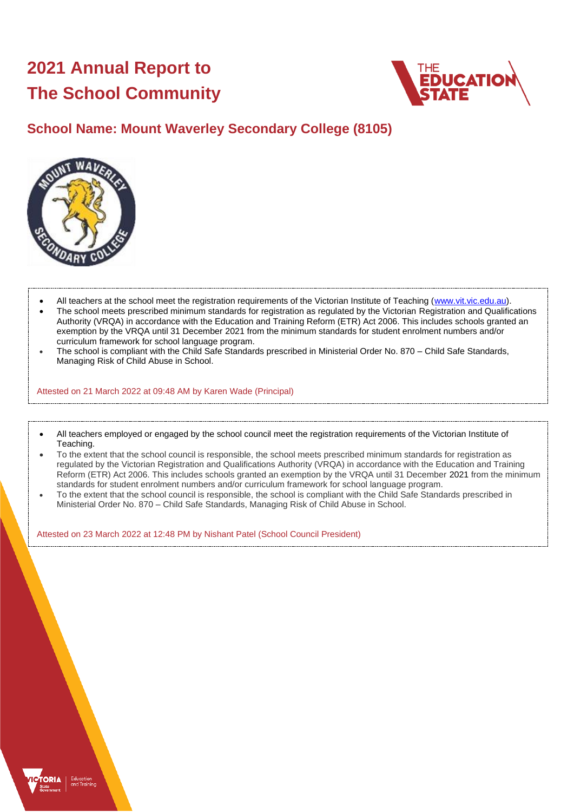# **2021 Annual Report to The School Community**



# **School Name: Mount Waverley Secondary College (8105)**



- All teachers at the school meet the registration requirements of the Victorian Institute of Teaching [\(www.vit.vic.edu.au\)](https://www.vit.vic.edu.au/).
- The school meets prescribed minimum standards for registration as regulated by the Victorian Registration and Qualifications Authority (VRQA) in accordance with the Education and Training Reform (ETR) Act 2006. This includes schools granted an exemption by the VRQA until 31 December 2021 from the minimum standards for student enrolment numbers and/or curriculum framework for school language program.
- The school is compliant with the Child Safe Standards prescribed in Ministerial Order No. 870 Child Safe Standards, Managing Risk of Child Abuse in School.

Attested on 21 March 2022 at 09:48 AM by Karen Wade (Principal)

- All teachers employed or engaged by the school council meet the registration requirements of the Victorian Institute of Teaching.
- To the extent that the school council is responsible, the school meets prescribed minimum standards for registration as regulated by the Victorian Registration and Qualifications Authority (VRQA) in accordance with the Education and Training Reform (ETR) Act 2006. This includes schools granted an exemption by the VRQA until 31 December 2021 from the minimum standards for student enrolment numbers and/or curriculum framework for school language program.
- To the extent that the school council is responsible, the school is compliant with the Child Safe Standards prescribed in Ministerial Order No. 870 – Child Safe Standards, Managing Risk of Child Abuse in School.

Attested on 23 March 2022 at 12:48 PM by Nishant Patel (School Council President)

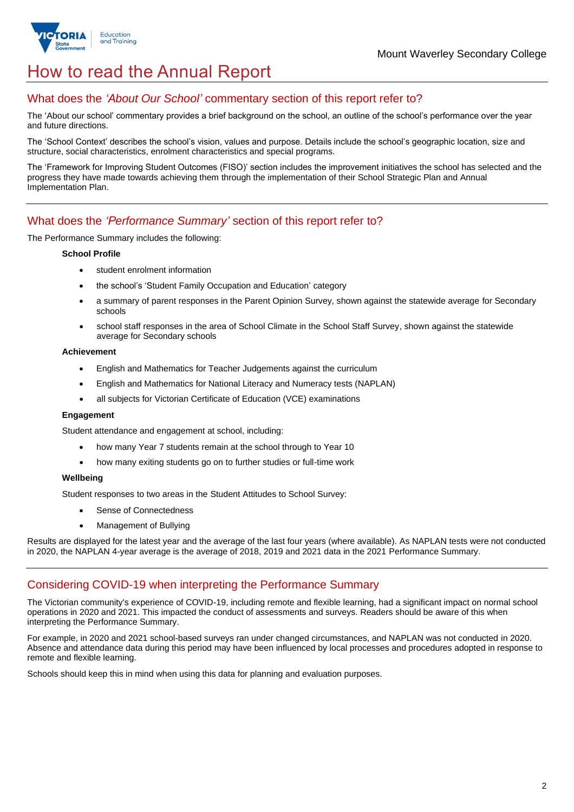

# How to read the Annual Report

## What does the *'About Our School'* commentary section of this report refer to?

The 'About our school' commentary provides a brief background on the school, an outline of the school's performance over the year and future directions.

The 'School Context' describes the school's vision, values and purpose. Details include the school's geographic location, size and structure, social characteristics, enrolment characteristics and special programs.

The 'Framework for Improving Student Outcomes (FISO)' section includes the improvement initiatives the school has selected and the progress they have made towards achieving them through the implementation of their School Strategic Plan and Annual Implementation Plan.

### What does the *'Performance Summary'* section of this report refer to?

The Performance Summary includes the following:

#### **School Profile**

- student enrolment information
- the school's 'Student Family Occupation and Education' category
- a summary of parent responses in the Parent Opinion Survey, shown against the statewide average for Secondary schools
- school staff responses in the area of School Climate in the School Staff Survey, shown against the statewide average for Secondary schools

#### **Achievement**

- English and Mathematics for Teacher Judgements against the curriculum
- English and Mathematics for National Literacy and Numeracy tests (NAPLAN)
- all subjects for Victorian Certificate of Education (VCE) examinations

#### **Engagement**

Student attendance and engagement at school, including:

- how many Year 7 students remain at the school through to Year 10
- how many exiting students go on to further studies or full-time work

#### **Wellbeing**

Student responses to two areas in the Student Attitudes to School Survey:

- Sense of Connectedness
- Management of Bullying

Results are displayed for the latest year and the average of the last four years (where available). As NAPLAN tests were not conducted in 2020, the NAPLAN 4-year average is the average of 2018, 2019 and 2021 data in the 2021 Performance Summary.

### Considering COVID-19 when interpreting the Performance Summary

The Victorian community's experience of COVID-19, including remote and flexible learning, had a significant impact on normal school operations in 2020 and 2021. This impacted the conduct of assessments and surveys. Readers should be aware of this when interpreting the Performance Summary.

For example, in 2020 and 2021 school-based surveys ran under changed circumstances, and NAPLAN was not conducted in 2020. Absence and attendance data during this period may have been influenced by local processes and procedures adopted in response to remote and flexible learning.

Schools should keep this in mind when using this data for planning and evaluation purposes.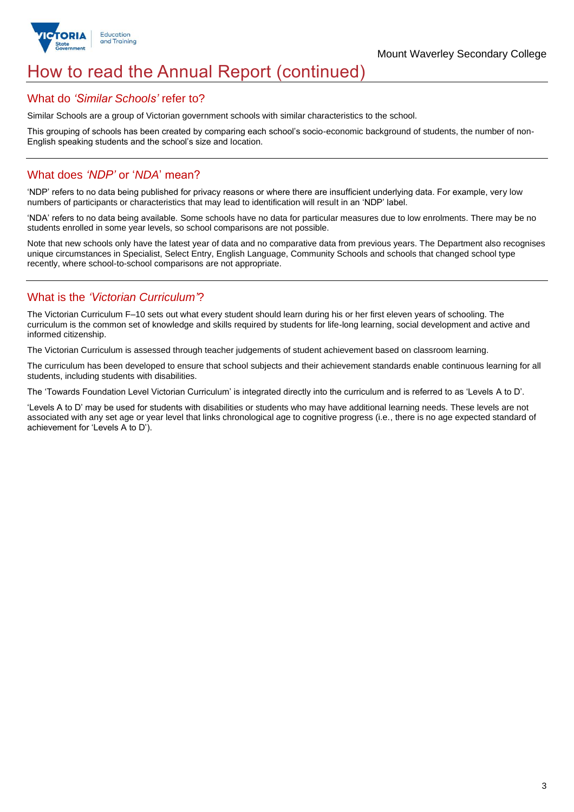

# How to read the Annual Report (continued)

### What do *'Similar Schools'* refer to?

Similar Schools are a group of Victorian government schools with similar characteristics to the school.

This grouping of schools has been created by comparing each school's socio-economic background of students, the number of non-English speaking students and the school's size and location.

## What does *'NDP'* or '*NDA*' mean?

'NDP' refers to no data being published for privacy reasons or where there are insufficient underlying data. For example, very low numbers of participants or characteristics that may lead to identification will result in an 'NDP' label.

'NDA' refers to no data being available. Some schools have no data for particular measures due to low enrolments. There may be no students enrolled in some year levels, so school comparisons are not possible.

Note that new schools only have the latest year of data and no comparative data from previous years. The Department also recognises unique circumstances in Specialist, Select Entry, English Language, Community Schools and schools that changed school type recently, where school-to-school comparisons are not appropriate.

## What is the *'Victorian Curriculum'*?

The Victorian Curriculum F–10 sets out what every student should learn during his or her first eleven years of schooling. The curriculum is the common set of knowledge and skills required by students for life-long learning, social development and active and informed citizenship.

The Victorian Curriculum is assessed through teacher judgements of student achievement based on classroom learning.

The curriculum has been developed to ensure that school subjects and their achievement standards enable continuous learning for all students, including students with disabilities.

The 'Towards Foundation Level Victorian Curriculum' is integrated directly into the curriculum and is referred to as 'Levels A to D'.

'Levels A to D' may be used for students with disabilities or students who may have additional learning needs. These levels are not associated with any set age or year level that links chronological age to cognitive progress (i.e., there is no age expected standard of achievement for 'Levels A to D').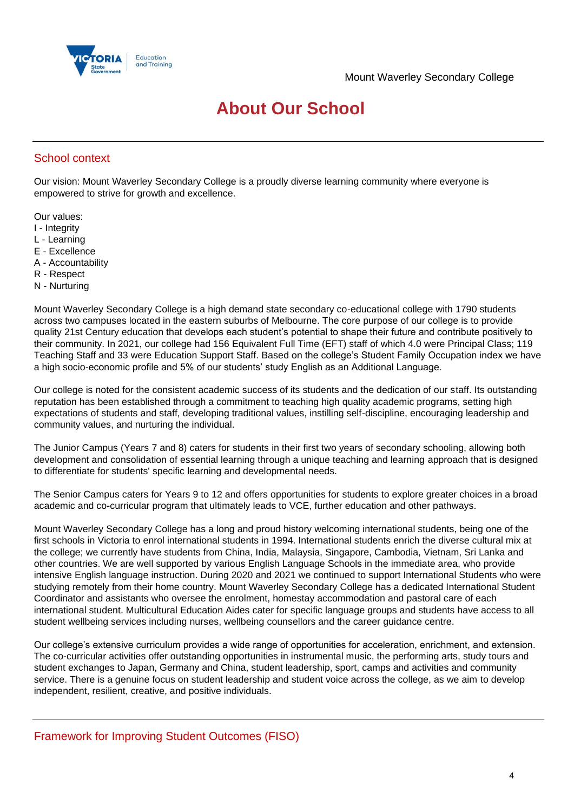

# **About Our School**

## School context

Our vision: Mount Waverley Secondary College is a proudly diverse learning community where everyone is empowered to strive for growth and excellence.

Our values:

- I Integrity
- L Learning
- E Excellence
- A Accountability
- R Respect
- N Nurturing

Mount Waverley Secondary College is a high demand state secondary co-educational college with 1790 students across two campuses located in the eastern suburbs of Melbourne. The core purpose of our college is to provide quality 21st Century education that develops each student's potential to shape their future and contribute positively to their community. In 2021, our college had 156 Equivalent Full Time (EFT) staff of which 4.0 were Principal Class; 119 Teaching Staff and 33 were Education Support Staff. Based on the college's Student Family Occupation index we have a high socio-economic profile and 5% of our students' study English as an Additional Language.

Our college is noted for the consistent academic success of its students and the dedication of our staff. Its outstanding reputation has been established through a commitment to teaching high quality academic programs, setting high expectations of students and staff, developing traditional values, instilling self-discipline, encouraging leadership and community values, and nurturing the individual.

The Junior Campus (Years 7 and 8) caters for students in their first two years of secondary schooling, allowing both development and consolidation of essential learning through a unique teaching and learning approach that is designed to differentiate for students' specific learning and developmental needs.

The Senior Campus caters for Years 9 to 12 and offers opportunities for students to explore greater choices in a broad academic and co-curricular program that ultimately leads to VCE, further education and other pathways.

Mount Waverley Secondary College has a long and proud history welcoming international students, being one of the first schools in Victoria to enrol international students in 1994. International students enrich the diverse cultural mix at the college; we currently have students from China, India, Malaysia, Singapore, Cambodia, Vietnam, Sri Lanka and other countries. We are well supported by various English Language Schools in the immediate area, who provide intensive English language instruction. During 2020 and 2021 we continued to support International Students who were studying remotely from their home country. Mount Waverley Secondary College has a dedicated International Student Coordinator and assistants who oversee the enrolment, homestay accommodation and pastoral care of each international student. Multicultural Education Aides cater for specific language groups and students have access to all student wellbeing services including nurses, wellbeing counsellors and the career guidance centre.

Our college's extensive curriculum provides a wide range of opportunities for acceleration, enrichment, and extension. The co-curricular activities offer outstanding opportunities in instrumental music, the performing arts, study tours and student exchanges to Japan, Germany and China, student leadership, sport, camps and activities and community service. There is a genuine focus on student leadership and student voice across the college, as we aim to develop independent, resilient, creative, and positive individuals.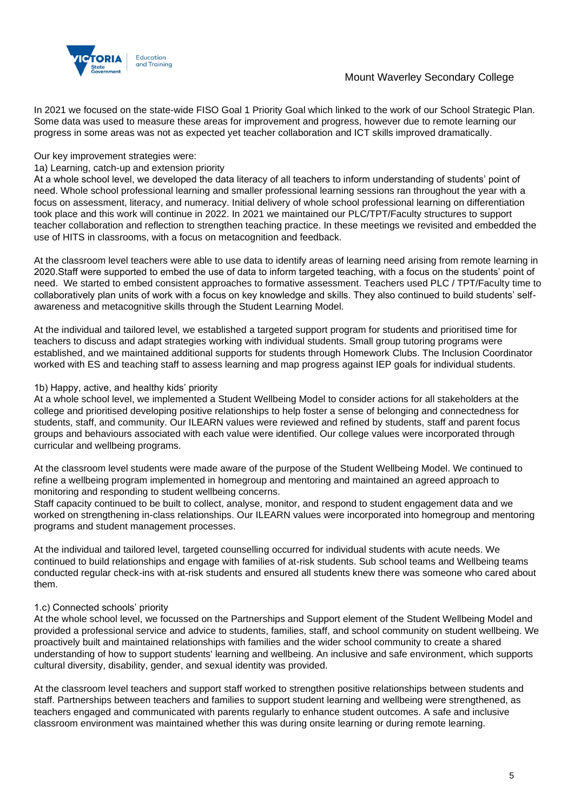

In 2021 we focused on the state-wide FISO Goal 1 Priority Goal which linked to the work of our School Strategic Plan. Some data was used to measure these areas for improvement and progress, however due to remote learning our progress in some areas was not as expected yet teacher collaboration and ICT skills improved dramatically.

#### Our key improvement strategies were:

#### 1a) Learning, catch-up and extension priority

At a whole school level, we developed the data literacy of all teachers to inform understanding of students' point of need. Whole school professional learning and smaller professional learning sessions ran throughout the year with a focus on assessment, literacy, and numeracy. Initial delivery of whole school professional learning on differentiation took place and this work will continue in 2022. In 2021 we maintained our PLC/TPT/Faculty structures to support teacher collaboration and reflection to strengthen teaching practice. In these meetings we revisited and embedded the use of HITS in classrooms, with a focus on metacognition and feedback.

At the classroom level teachers were able to use data to identify areas of learning need arising from remote learning in 2020.Staff were supported to embed the use of data to inform targeted teaching, with a focus on the students' point of need. We started to embed consistent approaches to formative assessment. Teachers used PLC / TPT/Faculty time to collaboratively plan units of work with a focus on key knowledge and skills. They also continued to build students' selfawareness and metacognitive skills through the Student Learning Model.

At the individual and tailored level, we established a targeted support program for students and prioritised time for teachers to discuss and adapt strategies working with individual students. Small group tutoring programs were established, and we maintained additional supports for students through Homework Clubs. The Inclusion Coordinator worked with ES and teaching staff to assess learning and map progress against IEP goals for individual students.

#### 1b) Happy, active, and healthy kids' priority

At a whole school level, we implemented a Student Wellbeing Model to consider actions for all stakeholders at the college and prioritised developing positive relationships to help foster a sense of belonging and connectedness for students, staff, and community. Our ILEARN values were reviewed and refined by students, staff and parent focus groups and behaviours associated with each value were identified. Our college values were incorporated through curricular and wellbeing programs.

At the classroom level students were made aware of the purpose of the Student Wellbeing Model. We continued to refine a wellbeing program implemented in homegroup and mentoring and maintained an agreed approach to monitoring and responding to student wellbeing concerns.

Staff capacity continued to be built to collect, analyse, monitor, and respond to student engagement data and we worked on strengthening in-class relationships. Our ILEARN values were incorporated into homegroup and mentoring programs and student management processes.

At the individual and tailored level, targeted counselling occurred for individual students with acute needs. We continued to build relationships and engage with families of at-risk students. Sub school teams and Wellbeing teams conducted regular check-ins with at-risk students and ensured all students knew there was someone who cared about them.

#### 1.c) Connected schools' priority

At the whole school level, we focussed on the Partnerships and Support element of the Student Wellbeing Model and provided a professional service and advice to students, families, staff, and school community on student wellbeing. We proactively built and maintained relationships with families and the wider school community to create a shared understanding of how to support students' learning and wellbeing. An inclusive and safe environment, which supports cultural diversity, disability, gender, and sexual identity was provided.

At the classroom level teachers and support staff worked to strengthen positive relationships between students and staff. Partnerships between teachers and families to support student learning and wellbeing were strengthened, as teachers engaged and communicated with parents regularly to enhance student outcomes. A safe and inclusive classroom environment was maintained whether this was during onsite learning or during remote learning.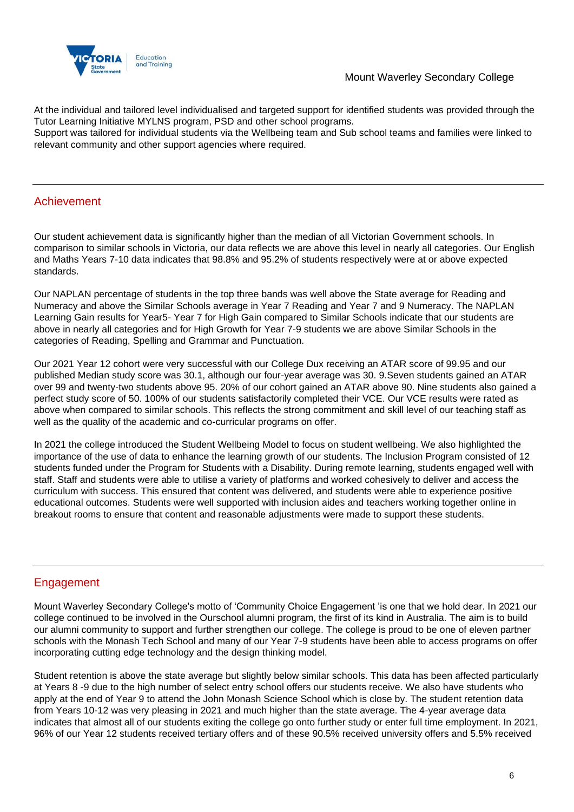

At the individual and tailored level individualised and targeted support for identified students was provided through the Tutor Learning Initiative MYLNS program, PSD and other school programs.

Support was tailored for individual students via the Wellbeing team and Sub school teams and families were linked to relevant community and other support agencies where required.

## Achievement

Our student achievement data is significantly higher than the median of all Victorian Government schools. In comparison to similar schools in Victoria, our data reflects we are above this level in nearly all categories. Our English and Maths Years 7-10 data indicates that 98.8% and 95.2% of students respectively were at or above expected standards.

Our NAPLAN percentage of students in the top three bands was well above the State average for Reading and Numeracy and above the Similar Schools average in Year 7 Reading and Year 7 and 9 Numeracy. The NAPLAN Learning Gain results for Year5- Year 7 for High Gain compared to Similar Schools indicate that our students are above in nearly all categories and for High Growth for Year 7-9 students we are above Similar Schools in the categories of Reading, Spelling and Grammar and Punctuation.

Our 2021 Year 12 cohort were very successful with our College Dux receiving an ATAR score of 99.95 and our published Median study score was 30.1, although our four-year average was 30. 9.Seven students gained an ATAR over 99 and twenty-two students above 95. 20% of our cohort gained an ATAR above 90. Nine students also gained a perfect study score of 50. 100% of our students satisfactorily completed their VCE. Our VCE results were rated as above when compared to similar schools. This reflects the strong commitment and skill level of our teaching staff as well as the quality of the academic and co-curricular programs on offer.

In 2021 the college introduced the Student Wellbeing Model to focus on student wellbeing. We also highlighted the importance of the use of data to enhance the learning growth of our students. The Inclusion Program consisted of 12 students funded under the Program for Students with a Disability. During remote learning, students engaged well with staff. Staff and students were able to utilise a variety of platforms and worked cohesively to deliver and access the curriculum with success. This ensured that content was delivered, and students were able to experience positive educational outcomes. Students were well supported with inclusion aides and teachers working together online in breakout rooms to ensure that content and reasonable adjustments were made to support these students.

## Engagement

Mount Waverley Secondary College's motto of 'Community Choice Engagement 'is one that we hold dear. In 2021 our college continued to be involved in the Ourschool alumni program, the first of its kind in Australia. The aim is to build our alumni community to support and further strengthen our college. The college is proud to be one of eleven partner schools with the Monash Tech School and many of our Year 7-9 students have been able to access programs on offer incorporating cutting edge technology and the design thinking model.

Student retention is above the state average but slightly below similar schools. This data has been affected particularly at Years 8 -9 due to the high number of select entry school offers our students receive. We also have students who apply at the end of Year 9 to attend the John Monash Science School which is close by. The student retention data from Years 10-12 was very pleasing in 2021 and much higher than the state average. The 4-year average data indicates that almost all of our students exiting the college go onto further study or enter full time employment. In 2021, 96% of our Year 12 students received tertiary offers and of these 90.5% received university offers and 5.5% received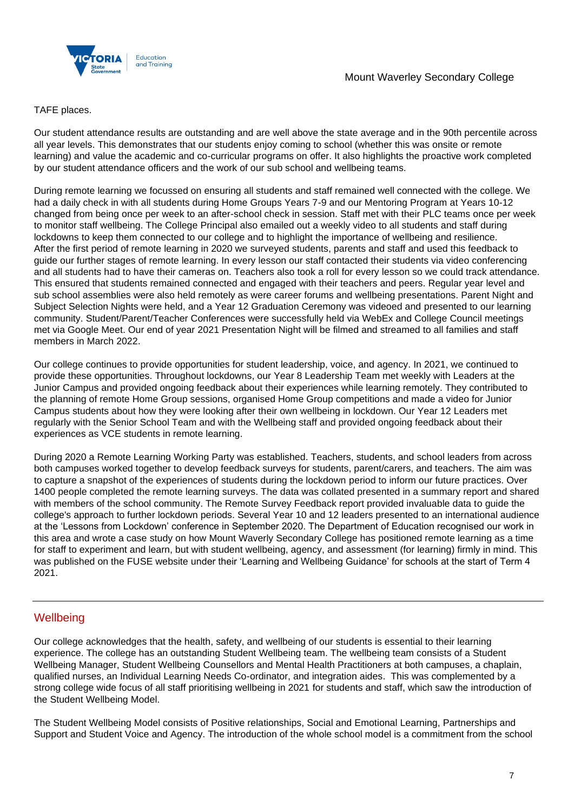

#### TAFE places.

Our student attendance results are outstanding and are well above the state average and in the 90th percentile across all year levels. This demonstrates that our students enjoy coming to school (whether this was onsite or remote learning) and value the academic and co-curricular programs on offer. It also highlights the proactive work completed by our student attendance officers and the work of our sub school and wellbeing teams.

During remote learning we focussed on ensuring all students and staff remained well connected with the college. We had a daily check in with all students during Home Groups Years 7-9 and our Mentoring Program at Years 10-12 changed from being once per week to an after-school check in session. Staff met with their PLC teams once per week to monitor staff wellbeing. The College Principal also emailed out a weekly video to all students and staff during lockdowns to keep them connected to our college and to highlight the importance of wellbeing and resilience. After the first period of remote learning in 2020 we surveyed students, parents and staff and used this feedback to guide our further stages of remote learning. In every lesson our staff contacted their students via video conferencing and all students had to have their cameras on. Teachers also took a roll for every lesson so we could track attendance. This ensured that students remained connected and engaged with their teachers and peers. Regular year level and sub school assemblies were also held remotely as were career forums and wellbeing presentations. Parent Night and Subject Selection Nights were held, and a Year 12 Graduation Ceremony was videoed and presented to our learning community. Student/Parent/Teacher Conferences were successfully held via WebEx and College Council meetings met via Google Meet. Our end of year 2021 Presentation Night will be filmed and streamed to all families and staff members in March 2022.

Our college continues to provide opportunities for student leadership, voice, and agency. In 2021, we continued to provide these opportunities. Throughout lockdowns, our Year 8 Leadership Team met weekly with Leaders at the Junior Campus and provided ongoing feedback about their experiences while learning remotely. They contributed to the planning of remote Home Group sessions, organised Home Group competitions and made a video for Junior Campus students about how they were looking after their own wellbeing in lockdown. Our Year 12 Leaders met regularly with the Senior School Team and with the Wellbeing staff and provided ongoing feedback about their experiences as VCE students in remote learning.

During 2020 a Remote Learning Working Party was established. Teachers, students, and school leaders from across both campuses worked together to develop feedback surveys for students, parent/carers, and teachers. The aim was to capture a snapshot of the experiences of students during the lockdown period to inform our future practices. Over 1400 people completed the remote learning surveys. The data was collated presented in a summary report and shared with members of the school community. The Remote Survey Feedback report provided invaluable data to guide the college's approach to further lockdown periods. Several Year 10 and 12 leaders presented to an international audience at the 'Lessons from Lockdown' conference in September 2020. The Department of Education recognised our work in this area and wrote a case study on how Mount Waverly Secondary College has positioned remote learning as a time for staff to experiment and learn, but with student wellbeing, agency, and assessment (for learning) firmly in mind. This was published on the FUSE website under their 'Learning and Wellbeing Guidance' for schools at the start of Term 4 2021.

### **Wellbeing**

Our college acknowledges that the health, safety, and wellbeing of our students is essential to their learning experience. The college has an outstanding Student Wellbeing team. The wellbeing team consists of a Student Wellbeing Manager, Student Wellbeing Counsellors and Mental Health Practitioners at both campuses, a chaplain, qualified nurses, an Individual Learning Needs Co-ordinator, and integration aides. This was complemented by a strong college wide focus of all staff prioritising wellbeing in 2021 for students and staff, which saw the introduction of the Student Wellbeing Model.

The Student Wellbeing Model consists of Positive relationships, Social and Emotional Learning, Partnerships and Support and Student Voice and Agency. The introduction of the whole school model is a commitment from the school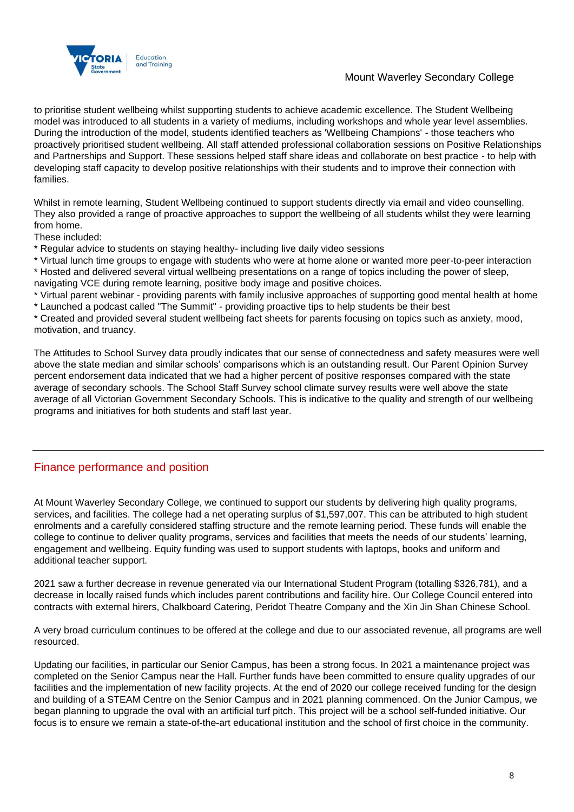

## Mount Waverley Secondary College

to prioritise student wellbeing whilst supporting students to achieve academic excellence. The Student Wellbeing model was introduced to all students in a variety of mediums, including workshops and whole year level assemblies. During the introduction of the model, students identified teachers as 'Wellbeing Champions' - those teachers who proactively prioritised student wellbeing. All staff attended professional collaboration sessions on Positive Relationships and Partnerships and Support. These sessions helped staff share ideas and collaborate on best practice - to help with developing staff capacity to develop positive relationships with their students and to improve their connection with families.

Whilst in remote learning, Student Wellbeing continued to support students directly via email and video counselling. They also provided a range of proactive approaches to support the wellbeing of all students whilst they were learning from home.

These included:

\* Regular advice to students on staying healthy- including live daily video sessions

\* Virtual lunch time groups to engage with students who were at home alone or wanted more peer-to-peer interaction \* Hosted and delivered several virtual wellbeing presentations on a range of topics including the power of sleep, navigating VCE during remote learning, positive body image and positive choices.

\* Virtual parent webinar - providing parents with family inclusive approaches of supporting good mental health at home

\* Launched a podcast called "The Summit" - providing proactive tips to help students be their best

\* Created and provided several student wellbeing fact sheets for parents focusing on topics such as anxiety, mood, motivation, and truancy.

The Attitudes to School Survey data proudly indicates that our sense of connectedness and safety measures were well above the state median and similar schools' comparisons which is an outstanding result. Our Parent Opinion Survey percent endorsement data indicated that we had a higher percent of positive responses compared with the state average of secondary schools. The School Staff Survey school climate survey results were well above the state average of all Victorian Government Secondary Schools. This is indicative to the quality and strength of our wellbeing programs and initiatives for both students and staff last year.

## Finance performance and position

At Mount Waverley Secondary College, we continued to support our students by delivering high quality programs, services, and facilities. The college had a net operating surplus of \$1,597,007. This can be attributed to high student enrolments and a carefully considered staffing structure and the remote learning period. These funds will enable the college to continue to deliver quality programs, services and facilities that meets the needs of our students' learning, engagement and wellbeing. Equity funding was used to support students with laptops, books and uniform and additional teacher support.

2021 saw a further decrease in revenue generated via our International Student Program (totalling \$326,781), and a decrease in locally raised funds which includes parent contributions and facility hire. Our College Council entered into contracts with external hirers, Chalkboard Catering, Peridot Theatre Company and the Xin Jin Shan Chinese School.

A very broad curriculum continues to be offered at the college and due to our associated revenue, all programs are well resourced.

Updating our facilities, in particular our Senior Campus, has been a strong focus. In 2021 a maintenance project was completed on the Senior Campus near the Hall. Further funds have been committed to ensure quality upgrades of our facilities and the implementation of new facility projects. At the end of 2020 our college received funding for the design and building of a STEAM Centre on the Senior Campus and in 2021 planning commenced. On the Junior Campus, we began planning to upgrade the oval with an artificial turf pitch. This project will be a school self-funded initiative. Our focus is to ensure we remain a state-of-the-art educational institution and the school of first choice in the community.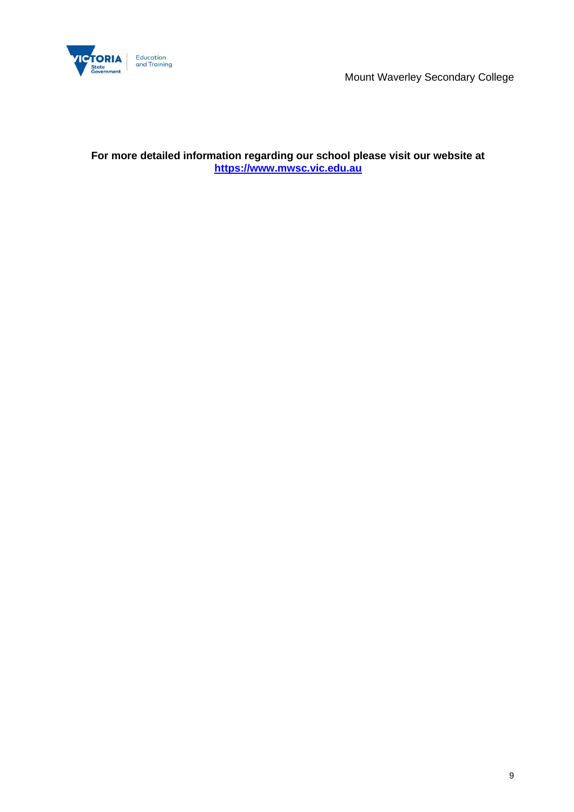

Mount Waverley Secondary College

**For more detailed information regarding our school please visit our website at [https://www.mwsc.vic.edu.au](https://www.mwsc.vic.edu.au/)**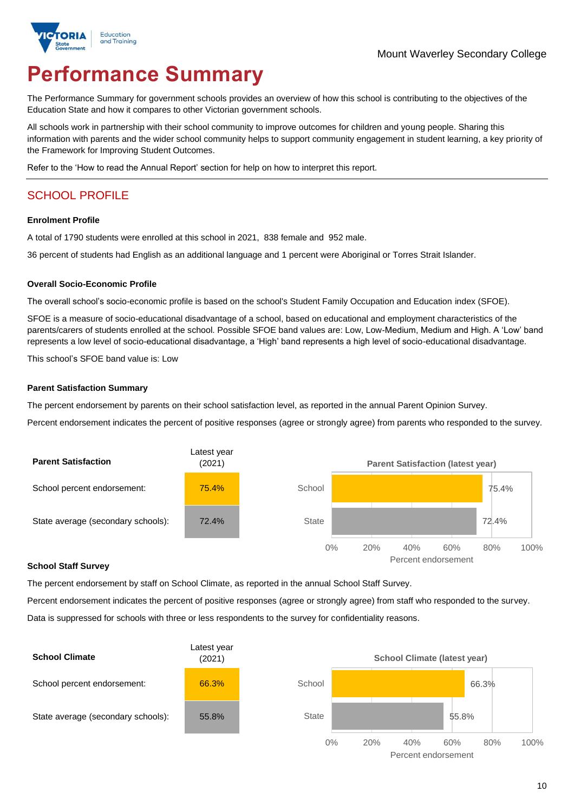

# **Performance Summary**

The Performance Summary for government schools provides an overview of how this school is contributing to the objectives of the Education State and how it compares to other Victorian government schools.

All schools work in partnership with their school community to improve outcomes for children and young people. Sharing this information with parents and the wider school community helps to support community engagement in student learning, a key priority of the Framework for Improving Student Outcomes.

Refer to the 'How to read the Annual Report' section for help on how to interpret this report.

# SCHOOL PROFILE

#### **Enrolment Profile**

A total of 1790 students were enrolled at this school in 2021, 838 female and 952 male.

36 percent of students had English as an additional language and 1 percent were Aboriginal or Torres Strait Islander.

#### **Overall Socio-Economic Profile**

The overall school's socio-economic profile is based on the school's Student Family Occupation and Education index (SFOE).

SFOE is a measure of socio-educational disadvantage of a school, based on educational and employment characteristics of the parents/carers of students enrolled at the school. Possible SFOE band values are: Low, Low-Medium, Medium and High. A 'Low' band represents a low level of socio-educational disadvantage, a 'High' band represents a high level of socio-educational disadvantage.

This school's SFOE band value is: Low

#### **Parent Satisfaction Summary**

The percent endorsement by parents on their school satisfaction level, as reported in the annual Parent Opinion Survey.

Percent endorsement indicates the percent of positive responses (agree or strongly agree) from parents who responded to the survey.



#### **School Staff Survey**

The percent endorsement by staff on School Climate, as reported in the annual School Staff Survey.

Percent endorsement indicates the percent of positive responses (agree or strongly agree) from staff who responded to the survey. Data is suppressed for schools with three or less respondents to the survey for confidentiality reasons.

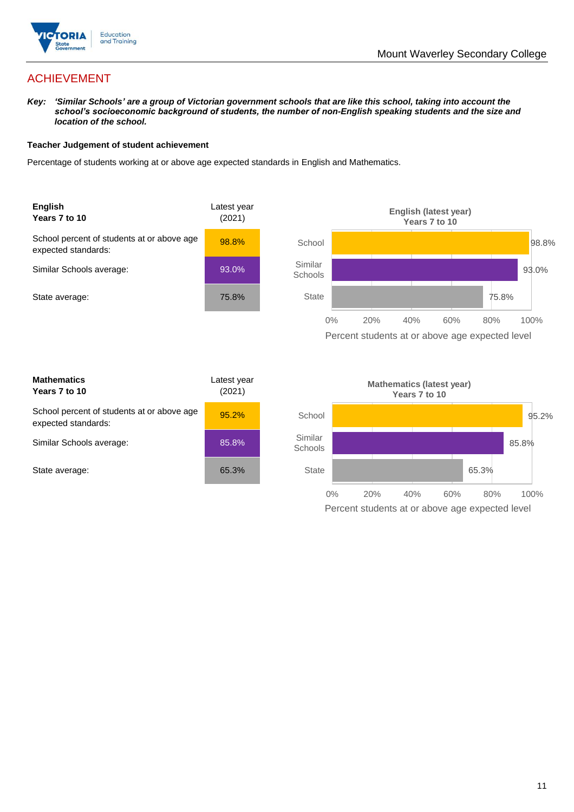

## ACHIEVEMENT

*Key: 'Similar Schools' are a group of Victorian government schools that are like this school, taking into account the school's socioeconomic background of students, the number of non-English speaking students and the size and location of the school.*

#### **Teacher Judgement of student achievement**

Percentage of students working at or above age expected standards in English and Mathematics.



| <b>Mathematics</b><br>Years 7 to 10                               | Latest year<br>(2021) |  |
|-------------------------------------------------------------------|-----------------------|--|
| School percent of students at or above age<br>expected standards: | 95.2%                 |  |
| Similar Schools average:                                          | 85.8%                 |  |
| State average:                                                    | 65.3%                 |  |

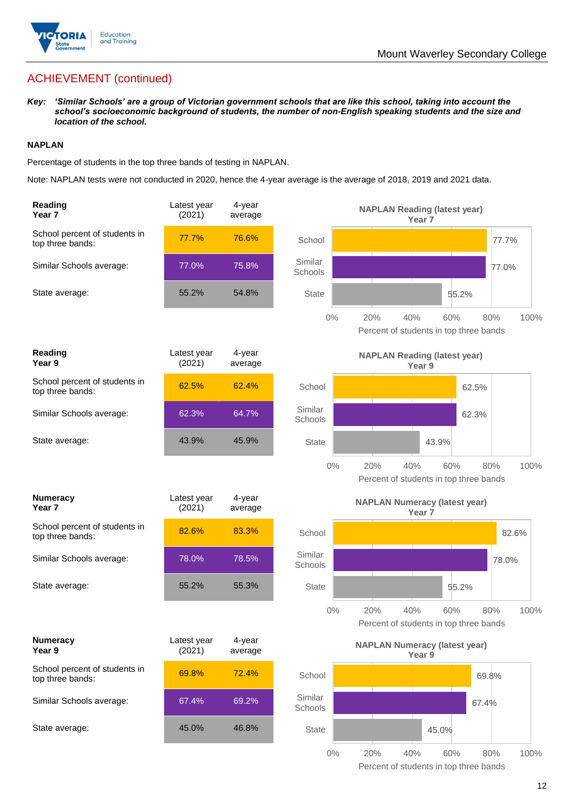

## ACHIEVEMENT (continued)

*Key: 'Similar Schools' are a group of Victorian government schools that are like this school, taking into account the school's socioeconomic background of students, the number of non-English speaking students and the size and location of the school.*

#### **NAPLAN**

Percentage of students in the top three bands of testing in NAPLAN.

Note: NAPLAN tests were not conducted in 2020, hence the 4-year average is the average of 2018, 2019 and 2021 data.

| Reading<br>Year <sub>7</sub>                      | Latest year<br>(2021) | 4-year<br>average |                    | <b>NAPLAN Reading (latest year)</b>                  | Year <sub>7</sub> |       |       |
|---------------------------------------------------|-----------------------|-------------------|--------------------|------------------------------------------------------|-------------------|-------|-------|
| School percent of students in<br>top three bands: | 77.7%                 | 76.6%             | School             |                                                      |                   | 77.7% |       |
| Similar Schools average:                          | 77.0%                 | 75.8%             | Similar<br>Schools |                                                      |                   | 77.0% |       |
| State average:                                    | 55.2%                 | 54.8%             | <b>State</b>       |                                                      | 55.2%             |       |       |
|                                                   |                       |                   | $0\%$              | 20%<br>40%<br>Percent of students in top three bands | 60%               | 80%   | 100%  |
| Reading<br>Year 9                                 | Latest year<br>(2021) | 4-year<br>average |                    | <b>NAPLAN Reading (latest year)</b>                  | Year 9            |       |       |
| School percent of students in<br>top three bands: | 62.5%                 | 62.4%             | School             |                                                      |                   | 62.5% |       |
| Similar Schools average:                          | 62.3%                 | 64.7%             | Similar<br>Schools |                                                      |                   | 62.3% |       |
| State average:                                    | 43.9%                 | 45.9%             | <b>State</b>       |                                                      | 43.9%             |       |       |
|                                                   |                       |                   | $0\%$              | 20%<br>40%<br>Percent of students in top three bands | 60%               | 80%   | 100%  |
| <b>Numeracy</b><br>Year <sub>7</sub>              | Latest year<br>(2021) | 4-year<br>average |                    | <b>NAPLAN Numeracy (latest year)</b>                 | Year <sub>7</sub> |       |       |
| School percent of students in<br>top three bands: | 82.6%                 | 83.3%             | School             |                                                      |                   |       | 82.6% |
| Similar Schools average:                          | 78.0%                 | 78.5%             | Similar<br>Schools |                                                      |                   | 78.0% |       |
| State average:                                    | 55.2%                 | 55.3%             | <b>State</b>       |                                                      | 55.2%             |       |       |
|                                                   |                       |                   | $0\%$              | 20%<br>40%<br>Percent of students in top three bands | 60%               | 80%   | 100%  |
| <b>Numeracy</b><br>Year 9                         | Latest year<br>(2021) | 4-year<br>average |                    | <b>NAPLAN Numeracy (latest year)</b>                 | Year 9            |       |       |
| School percent of students in<br>top three bands: | 69.8%                 | 72.4%             | School             |                                                      |                   | 69.8% |       |
| Similar Schools average:                          | 67.4%                 | 69.2%             | Similar<br>Schools |                                                      |                   | 67.4% |       |
| State average:                                    | 45.0%                 | 46.8%             | <b>State</b>       |                                                      | 45.0%             |       |       |
|                                                   |                       |                   | $0\%$              | 20%<br>40%                                           | 60%               | 80%   | 100%  |

Percent of students in top three bands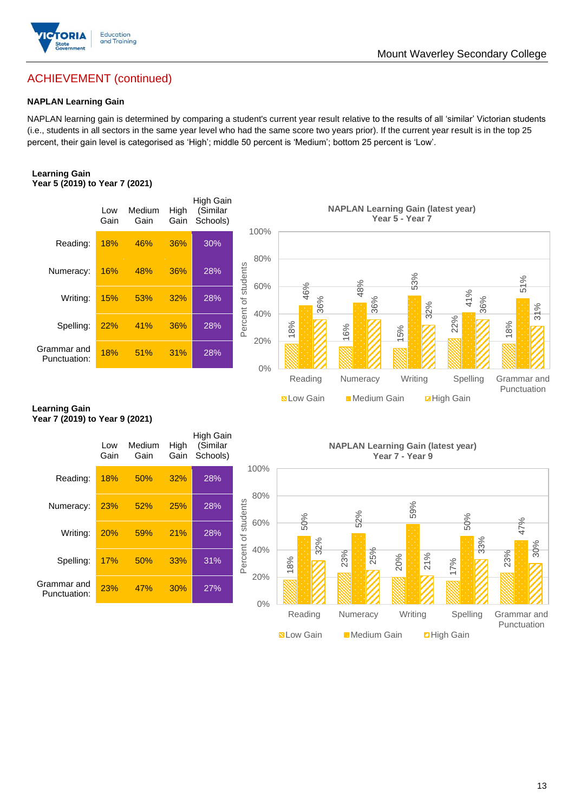

## Mount Waverley Secondary College

## ACHIEVEMENT (continued)

#### **NAPLAN Learning Gain**

NAPLAN learning gain is determined by comparing a student's current year result relative to the results of all 'similar' Victorian students (i.e., students in all sectors in the same year level who had the same score two years prior). If the current year result is in the top 25 percent, their gain level is categorised as 'High'; middle 50 percent is 'Medium'; bottom 25 percent is 'Low'.

#### **Learning Gain Year 5 (2019) to Year 7 (2021)**



#### **Learning Gain Year 7 (2019) to Year 9 (2021)**

| Spelling:                                              | 22%         | 41%            | 36%          | 28%                  | Perce<br>20%               | 18%               | 16%                                       | 5%              | w       | 22%                | က<br>18%                   |
|--------------------------------------------------------|-------------|----------------|--------------|----------------------|----------------------------|-------------------|-------------------------------------------|-----------------|---------|--------------------|----------------------------|
| Grammar and<br>Punctuation:                            | 18%         | 51%            | 31%          | 28%                  | $0\%$                      |                   |                                           |                 |         |                    |                            |
|                                                        |             |                |              |                      |                            | Reading           | Numeracy                                  |                 | Writing | Spelling           | Grammar and<br>Punctuation |
| <b>Learning Gain</b><br>Year 7 (2019) to Year 9 (2021) |             |                |              |                      |                            | <b>N</b> Low Gain | Medium Gain                               |                 |         | <b>Z</b> High Gain |                            |
|                                                        |             |                |              | <b>High Gain</b>     |                            |                   |                                           |                 |         |                    |                            |
|                                                        | Low<br>Gain | Medium<br>Gain | High<br>Gain | (Similar<br>Schools) |                            |                   | <b>NAPLAN Learning Gain (latest year)</b> | Year 7 - Year 9 |         |                    |                            |
| Reading:                                               | 18%         | 50%            | 32%          | 28%                  | 100%                       |                   |                                           |                 |         |                    |                            |
| Numeracy:                                              | 23%         | 52%            | 25%          | 28%                  | 80%                        |                   | 52%                                       | 59%             |         |                    |                            |
| Writing:                                               | 20%         | 59%            | 21%          | 28%                  | Percent of students<br>60% | 50%<br>32%        |                                           |                 |         | 50%<br>33%         | 47%                        |
| Spelling:                                              | 17%         | 50%            | 33%          | 31%                  | 40%                        | 18%               | 25%<br>23%                                | 20%             | 21%     | 17%                | 30%<br>23%                 |
| Grammar and<br>Punctuation:                            | 23%         | 47%            | 30%          | 27%                  | 20%<br>$0\%$               |                   |                                           |                 |         |                    |                            |
|                                                        |             |                |              |                      |                            | Reading           | Numeracy                                  | Writing         |         | Spelling           | Grammar and<br>Punctuation |
|                                                        |             |                |              |                      |                            | <b>SLow Gain</b>  | Medium Gain                               |                 |         | <b>D</b> High Gain |                            |

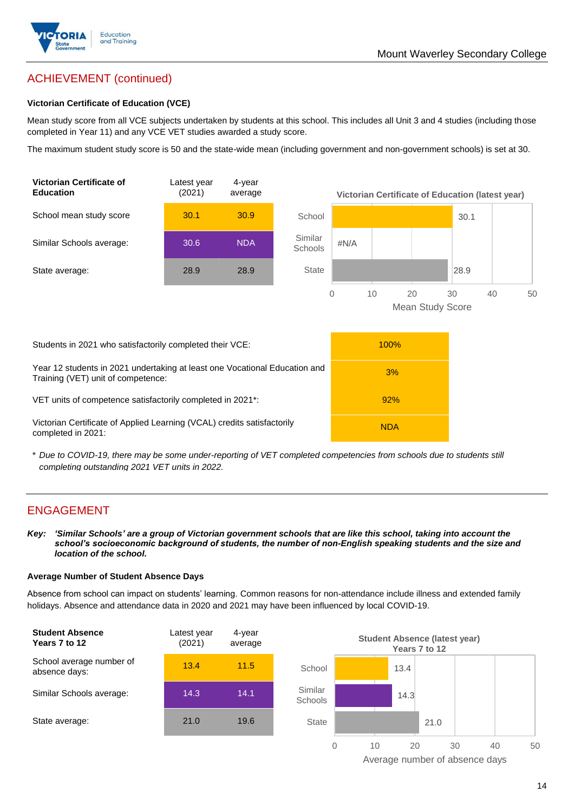

# ACHIEVEMENT (continued)

#### **Victorian Certificate of Education (VCE)**

Mean study score from all VCE subjects undertaken by students at this school. This includes all Unit 3 and 4 studies (including those completed in Year 11) and any VCE VET studies awarded a study score.

The maximum student study score is 50 and the state-wide mean (including government and non-government schools) is set at 30.



\* *Due to COVID-19, there may be some under-reporting of VET completed competencies from schools due to students still completing outstanding 2021 VET units in 2022.*

## ENGAGEMENT

*Key: 'Similar Schools' are a group of Victorian government schools that are like this school, taking into account the school's socioeconomic background of students, the number of non-English speaking students and the size and location of the school.*

#### **Average Number of Student Absence Days**

Absence from school can impact on students' learning. Common reasons for non-attendance include illness and extended family holidays. Absence and attendance data in 2020 and 2021 may have been influenced by local COVID-19.



Average number of absence days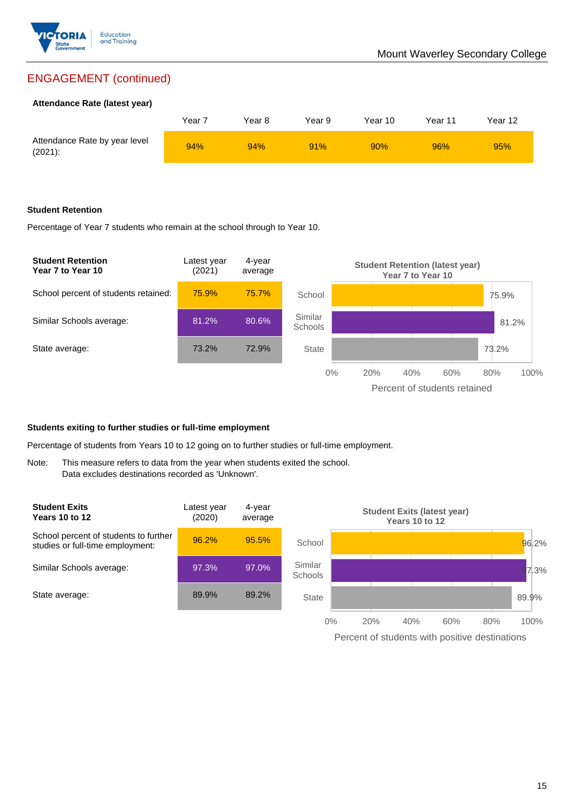

## ENGAGEMENT (continued)

#### **Attendance Rate (latest year)**

|                                             | Year 7 | Year 8 | Year 9 | Year 10 | Year 11 | Year 12 |
|---------------------------------------------|--------|--------|--------|---------|---------|---------|
| Attendance Rate by year level<br>$(2021)$ : | 94%    | 94%    | 91%    | 90%     | 96%     | 95%     |

#### **Student Retention**

Percentage of Year 7 students who remain at the school through to Year 10.



#### **Students exiting to further studies or full-time employment**

Percentage of students from Years 10 to 12 going on to further studies or full-time employment.

Note: This measure refers to data from the year when students exited the school. Data excludes destinations recorded as 'Unknown'.



Percent of students with positive destinations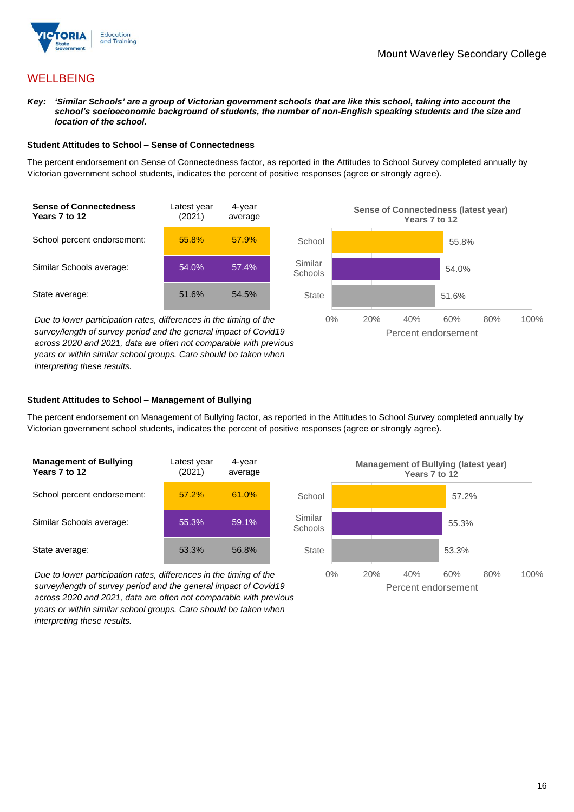

## **WELLBEING**

*Key: 'Similar Schools' are a group of Victorian government schools that are like this school, taking into account the school's socioeconomic background of students, the number of non-English speaking students and the size and location of the school.*

#### **Student Attitudes to School – Sense of Connectedness**

The percent endorsement on Sense of Connectedness factor, as reported in the Attitudes to School Survey completed annually by Victorian government school students, indicates the percent of positive responses (agree or strongly agree).



*Due to lower participation rates, differences in the timing of the survey/length of survey period and the general impact of Covid19 across 2020 and 2021, data are often not comparable with previous years or within similar school groups. Care should be taken when interpreting these results.*



#### **Student Attitudes to School – Management of Bullying**

The percent endorsement on Management of Bullying factor, as reported in the Attitudes to School Survey completed annually by Victorian government school students, indicates the percent of positive responses (agree or strongly agree).

| <b>Management of Bullying</b><br>Years 7 to 12 | Latest year<br>(2021) | 4-year<br>average |  |
|------------------------------------------------|-----------------------|-------------------|--|
| School percent endorsement:                    | 57.2%                 | 61.0%             |  |
| Similar Schools average:                       | 55.3%                 | 59.1%             |  |
| State average:                                 | 53.3%                 | 56.8%             |  |

*Due to lower participation rates, differences in the timing of the survey/length of survey period and the general impact of Covid19 across 2020 and 2021, data are often not comparable with previous years or within similar school groups. Care should be taken when interpreting these results.*

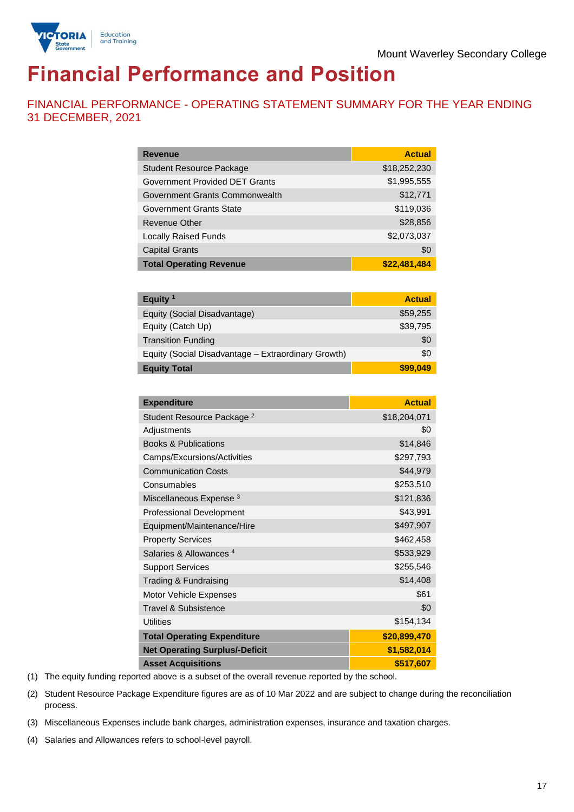



# **Financial Performance and Position**

FINANCIAL PERFORMANCE - OPERATING STATEMENT SUMMARY FOR THE YEAR ENDING 31 DECEMBER, 2021

| <b>Revenue</b>                  | <b>Actual</b> |
|---------------------------------|---------------|
| <b>Student Resource Package</b> | \$18,252,230  |
| Government Provided DET Grants  | \$1,995,555   |
| Government Grants Commonwealth  | \$12,771      |
| Government Grants State         | \$119,036     |
| Revenue Other                   | \$28,856      |
| <b>Locally Raised Funds</b>     | \$2,073,037   |
| <b>Capital Grants</b>           | \$0           |
| <b>Total Operating Revenue</b>  | \$22,481,484  |

| Equity $1$                                          | <b>Actual</b> |
|-----------------------------------------------------|---------------|
| Equity (Social Disadvantage)                        | \$59,255      |
| Equity (Catch Up)                                   | \$39,795      |
| <b>Transition Funding</b>                           | \$0           |
| Equity (Social Disadvantage - Extraordinary Growth) | \$0           |
| <b>Equity Total</b>                                 | \$99.049      |

| <b>Expenditure</b>                    | <b>Actual</b> |
|---------------------------------------|---------------|
| Student Resource Package <sup>2</sup> | \$18,204,071  |
| Adjustments                           | \$0           |
| <b>Books &amp; Publications</b>       | \$14,846      |
| Camps/Excursions/Activities           | \$297,793     |
| <b>Communication Costs</b>            | \$44,979      |
| Consumables                           | \$253,510     |
| Miscellaneous Expense <sup>3</sup>    | \$121,836     |
| <b>Professional Development</b>       | \$43,991      |
| Equipment/Maintenance/Hire            | \$497,907     |
| <b>Property Services</b>              | \$462,458     |
| Salaries & Allowances <sup>4</sup>    | \$533,929     |
| <b>Support Services</b>               | \$255,546     |
| Trading & Fundraising                 | \$14,408      |
| Motor Vehicle Expenses                | \$61          |
| Travel & Subsistence                  | \$0           |
| <b>Utilities</b>                      | \$154,134     |
| <b>Total Operating Expenditure</b>    | \$20,899,470  |
| <b>Net Operating Surplus/-Deficit</b> | \$1,582,014   |
| <b>Asset Acquisitions</b>             | \$517,607     |

(1) The equity funding reported above is a subset of the overall revenue reported by the school.

(2) Student Resource Package Expenditure figures are as of 10 Mar 2022 and are subject to change during the reconciliation process.

(3) Miscellaneous Expenses include bank charges, administration expenses, insurance and taxation charges.

(4) Salaries and Allowances refers to school-level payroll.